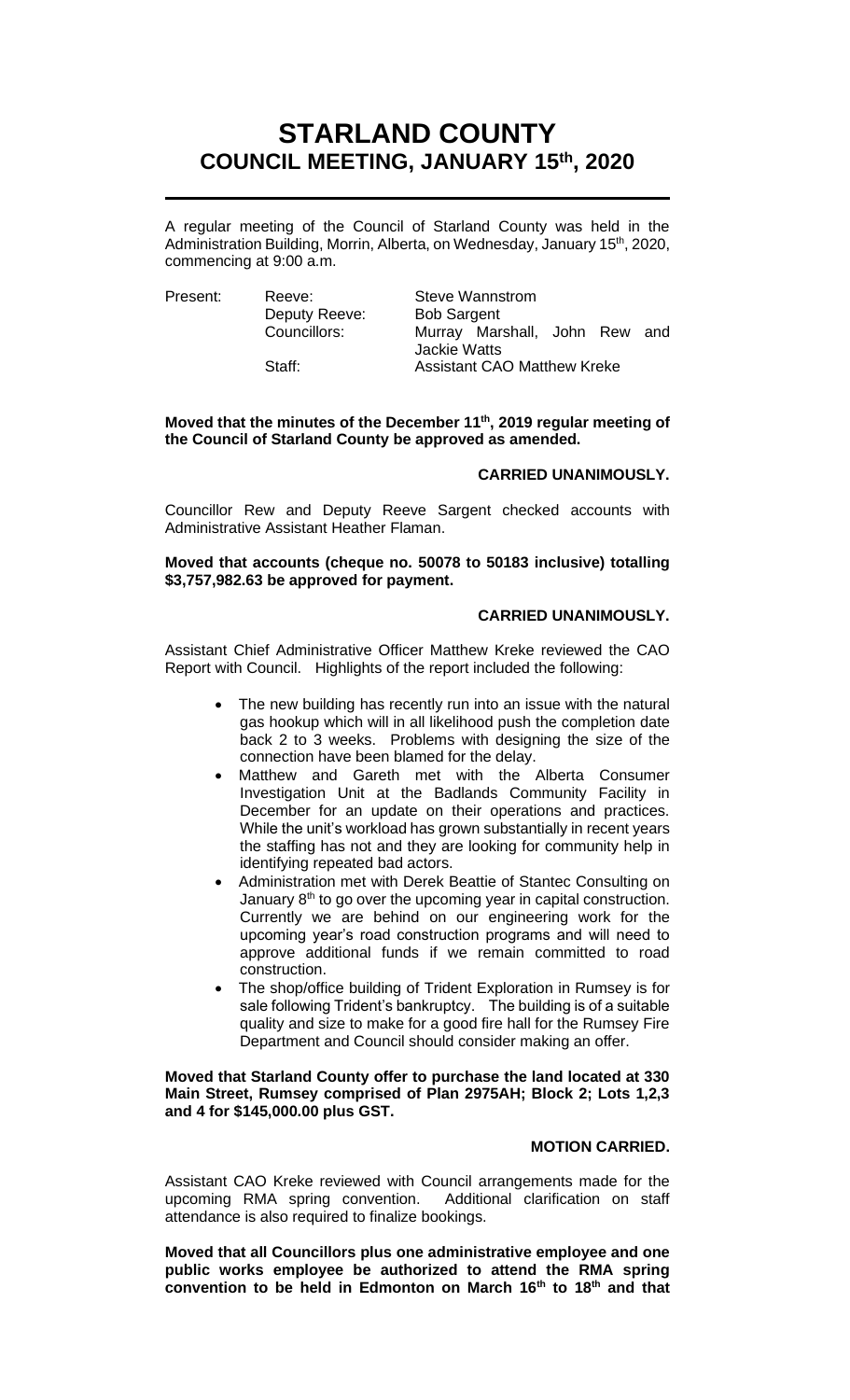# **STARLAND COUNTY COUNCIL MEETING, JANUARY 15 th, 2020**

A regular meeting of the Council of Starland County was held in the Administration Building, Morrin, Alberta, on Wednesday, January 15<sup>th</sup>, 2020, commencing at 9:00 a.m.

Deputy Reeve: Bob Sargent

Present: Reeve: Steve Wannstrom Councillors: Murray Marshall, John Rew and Jackie Watts Staff: **Assistant CAO Matthew Kreke** 

# **Moved that the minutes of the December 11th, 2019 regular meeting of the Council of Starland County be approved as amended.**

# **CARRIED UNANIMOUSLY.**

Councillor Rew and Deputy Reeve Sargent checked accounts with Administrative Assistant Heather Flaman.

# **Moved that accounts (cheque no. 50078 to 50183 inclusive) totalling \$3,757,982.63 be approved for payment.**

# **CARRIED UNANIMOUSLY.**

Assistant Chief Administrative Officer Matthew Kreke reviewed the CAO Report with Council. Highlights of the report included the following:

- The new building has recently run into an issue with the natural gas hookup which will in all likelihood push the completion date back 2 to 3 weeks. Problems with designing the size of the connection have been blamed for the delay.
- Matthew and Gareth met with the Alberta Consumer Investigation Unit at the Badlands Community Facility in December for an update on their operations and practices. While the unit's workload has grown substantially in recent years the staffing has not and they are looking for community help in identifying repeated bad actors.
- Administration met with Derek Beattie of Stantec Consulting on January 8<sup>th</sup> to go over the upcoming year in capital construction. Currently we are behind on our engineering work for the upcoming year's road construction programs and will need to approve additional funds if we remain committed to road construction.
- The shop/office building of Trident Exploration in Rumsey is for sale following Trident's bankruptcy. The building is of a suitable quality and size to make for a good fire hall for the Rumsey Fire Department and Council should consider making an offer.

### **Moved that Starland County offer to purchase the land located at 330 Main Street, Rumsey comprised of Plan 2975AH; Block 2; Lots 1,2,3 and 4 for \$145,000.00 plus GST.**

### **MOTION CARRIED.**

Assistant CAO Kreke reviewed with Council arrangements made for the upcoming RMA spring convention. Additional clarification on staff attendance is also required to finalize bookings.

**Moved that all Councillors plus one administrative employee and one public works employee be authorized to attend the RMA spring convention to be held in Edmonton on March 16th to 18th and that**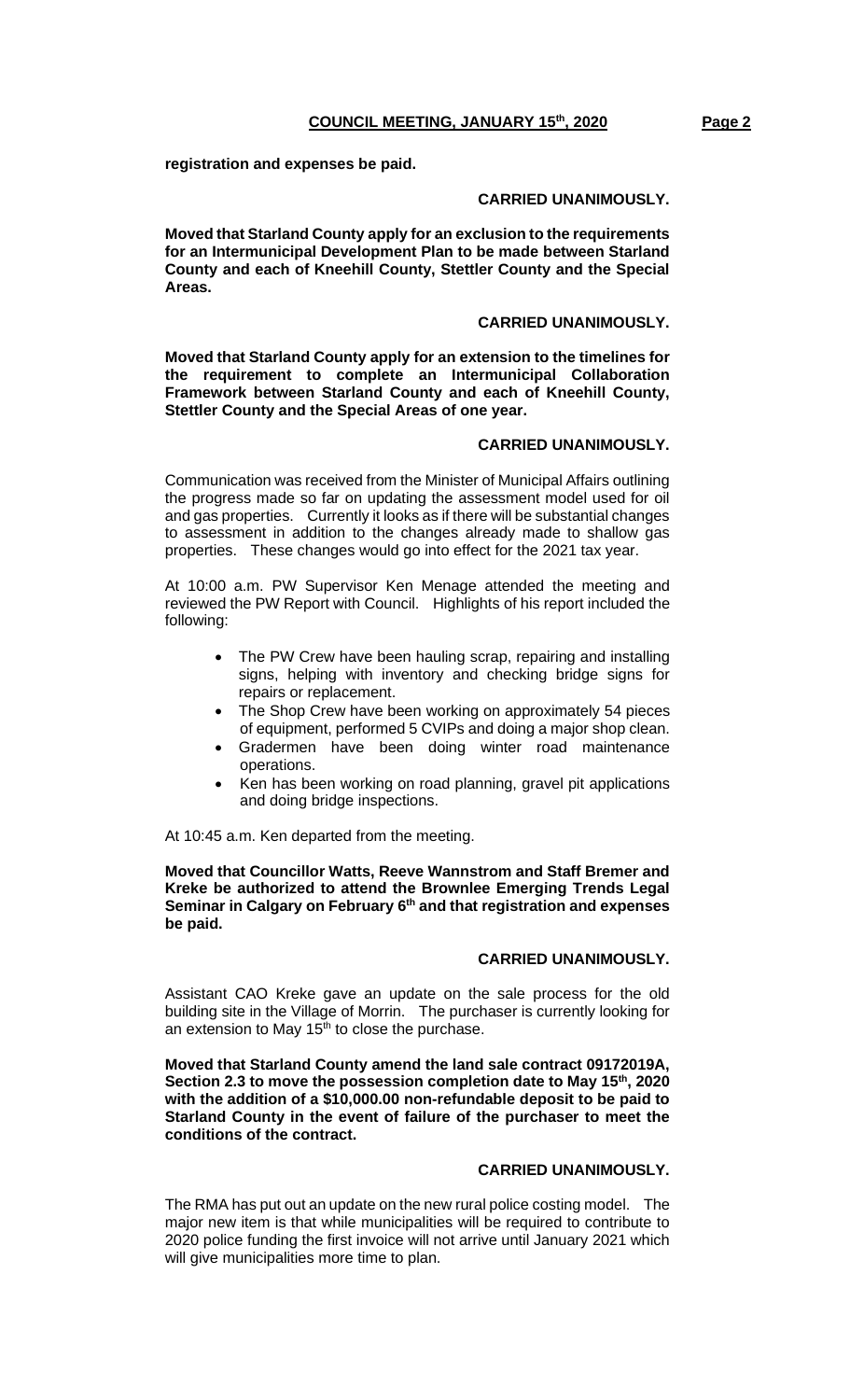**registration and expenses be paid.**

### **CARRIED UNANIMOUSLY.**

**Moved that Starland County apply for an exclusion to the requirements for an Intermunicipal Development Plan to be made between Starland County and each of Kneehill County, Stettler County and the Special Areas.**

### **CARRIED UNANIMOUSLY.**

**Moved that Starland County apply for an extension to the timelines for the requirement to complete an Intermunicipal Collaboration Framework between Starland County and each of Kneehill County, Stettler County and the Special Areas of one year.**

# **CARRIED UNANIMOUSLY.**

Communication was received from the Minister of Municipal Affairs outlining the progress made so far on updating the assessment model used for oil and gas properties. Currently it looks as if there will be substantial changes to assessment in addition to the changes already made to shallow gas properties. These changes would go into effect for the 2021 tax year.

At 10:00 a.m. PW Supervisor Ken Menage attended the meeting and reviewed the PW Report with Council. Highlights of his report included the following:

- The PW Crew have been hauling scrap, repairing and installing signs, helping with inventory and checking bridge signs for repairs or replacement.
- The Shop Crew have been working on approximately 54 pieces of equipment, performed 5 CVIPs and doing a major shop clean.
- Gradermen have been doing winter road maintenance operations.
- Ken has been working on road planning, gravel pit applications and doing bridge inspections.

At 10:45 a.m. Ken departed from the meeting.

**Moved that Councillor Watts, Reeve Wannstrom and Staff Bremer and Kreke be authorized to attend the Brownlee Emerging Trends Legal Seminar in Calgary on February 6th and that registration and expenses be paid.**

# **CARRIED UNANIMOUSLY.**

Assistant CAO Kreke gave an update on the sale process for the old building site in the Village of Morrin. The purchaser is currently looking for an extension to May  $15<sup>th</sup>$  to close the purchase.

**Moved that Starland County amend the land sale contract 09172019A, Section 2.3 to move the possession completion date to May 15th, 2020 with the addition of a \$10,000.00 non-refundable deposit to be paid to Starland County in the event of failure of the purchaser to meet the conditions of the contract.**

# **CARRIED UNANIMOUSLY.**

The RMA has put out an update on the new rural police costing model. The major new item is that while municipalities will be required to contribute to 2020 police funding the first invoice will not arrive until January 2021 which will give municipalities more time to plan.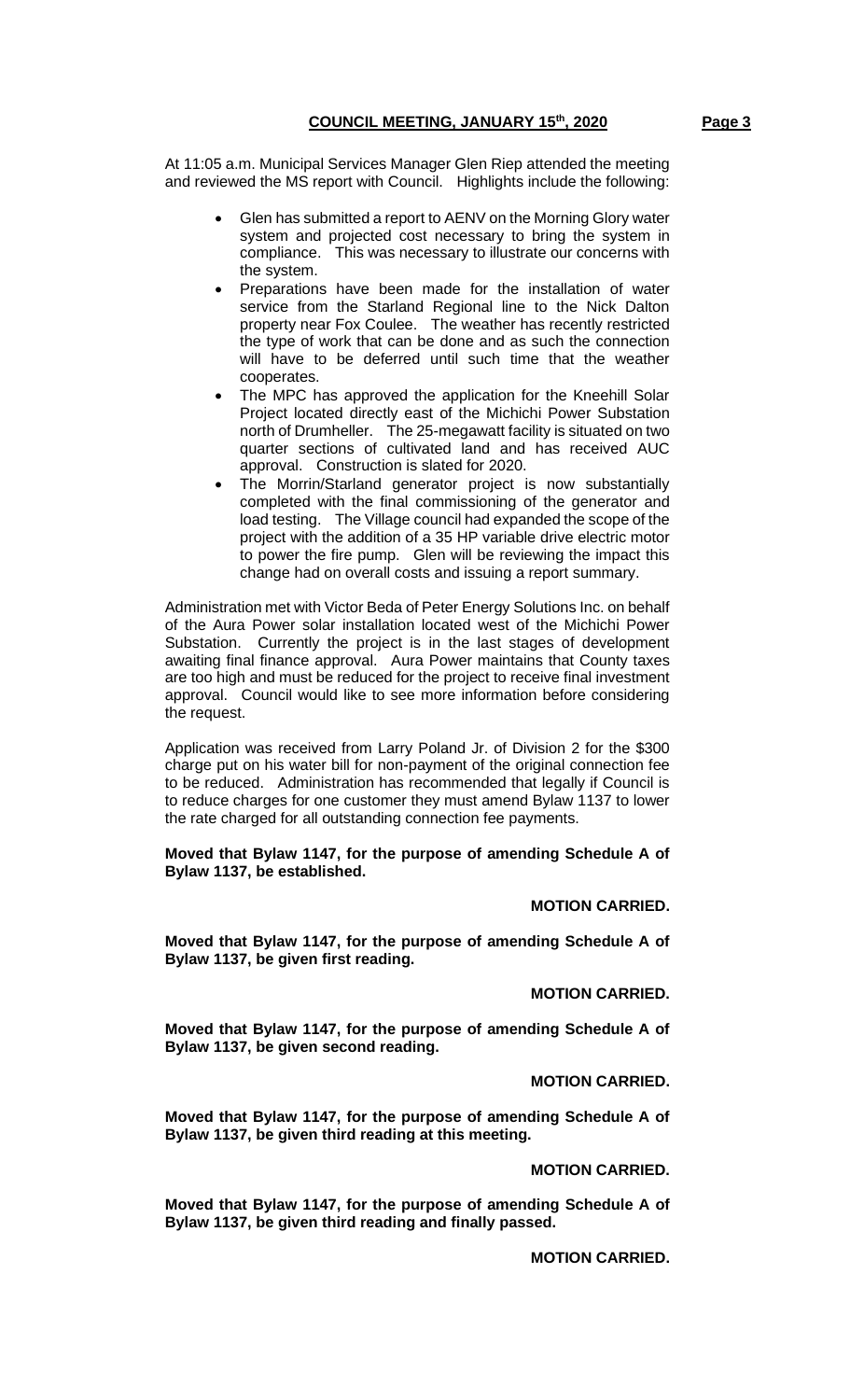At 11:05 a.m. Municipal Services Manager Glen Riep attended the meeting and reviewed the MS report with Council. Highlights include the following:

- Glen has submitted a report to AENV on the Morning Glory water system and projected cost necessary to bring the system in compliance. This was necessary to illustrate our concerns with the system.
- Preparations have been made for the installation of water service from the Starland Regional line to the Nick Dalton property near Fox Coulee. The weather has recently restricted the type of work that can be done and as such the connection will have to be deferred until such time that the weather cooperates.
- The MPC has approved the application for the Kneehill Solar Project located directly east of the Michichi Power Substation north of Drumheller. The 25-megawatt facility is situated on two quarter sections of cultivated land and has received AUC approval. Construction is slated for 2020.
- The Morrin/Starland generator project is now substantially completed with the final commissioning of the generator and load testing. The Village council had expanded the scope of the project with the addition of a 35 HP variable drive electric motor to power the fire pump. Glen will be reviewing the impact this change had on overall costs and issuing a report summary.

Administration met with Victor Beda of Peter Energy Solutions Inc. on behalf of the Aura Power solar installation located west of the Michichi Power Substation. Currently the project is in the last stages of development awaiting final finance approval. Aura Power maintains that County taxes are too high and must be reduced for the project to receive final investment approval. Council would like to see more information before considering the request.

Application was received from Larry Poland Jr. of Division 2 for the \$300 charge put on his water bill for non-payment of the original connection fee to be reduced. Administration has recommended that legally if Council is to reduce charges for one customer they must amend Bylaw 1137 to lower the rate charged for all outstanding connection fee payments.

**Moved that Bylaw 1147, for the purpose of amending Schedule A of Bylaw 1137, be established.**

**MOTION CARRIED.**

**Moved that Bylaw 1147, for the purpose of amending Schedule A of Bylaw 1137, be given first reading.**

**MOTION CARRIED.**

**Moved that Bylaw 1147, for the purpose of amending Schedule A of Bylaw 1137, be given second reading.**

**MOTION CARRIED.**

**Moved that Bylaw 1147, for the purpose of amending Schedule A of Bylaw 1137, be given third reading at this meeting.**

**MOTION CARRIED.**

**Moved that Bylaw 1147, for the purpose of amending Schedule A of Bylaw 1137, be given third reading and finally passed.**

**MOTION CARRIED.**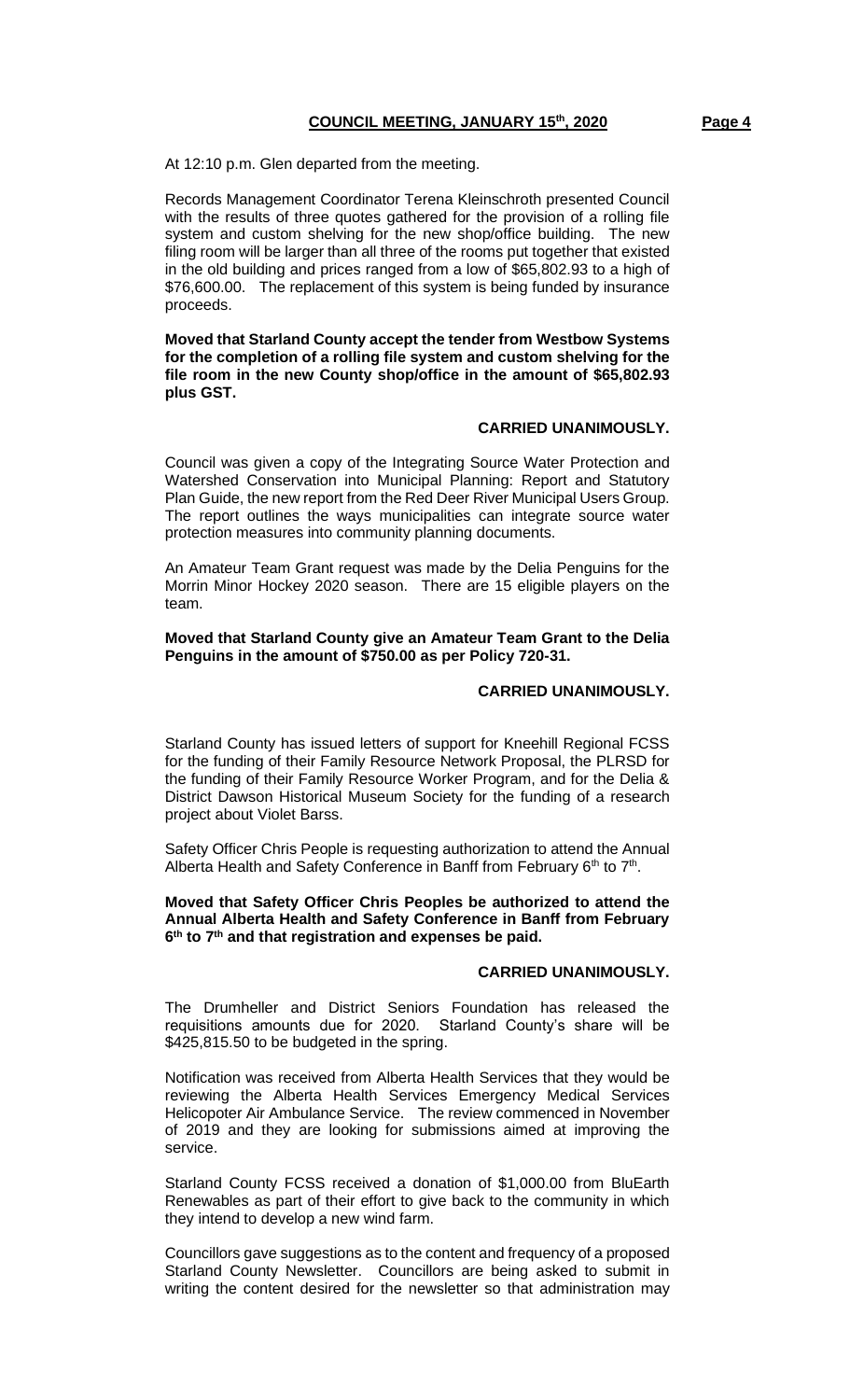At 12:10 p.m. Glen departed from the meeting.

Records Management Coordinator Terena Kleinschroth presented Council with the results of three quotes gathered for the provision of a rolling file system and custom shelving for the new shop/office building. The new filing room will be larger than all three of the rooms put together that existed in the old building and prices ranged from a low of \$65,802.93 to a high of \$76,600.00. The replacement of this system is being funded by insurance proceeds.

**Moved that Starland County accept the tender from Westbow Systems for the completion of a rolling file system and custom shelving for the file room in the new County shop/office in the amount of \$65,802.93 plus GST.**

#### **CARRIED UNANIMOUSLY.**

Council was given a copy of the Integrating Source Water Protection and Watershed Conservation into Municipal Planning: Report and Statutory Plan Guide, the new report from the Red Deer River Municipal Users Group. The report outlines the ways municipalities can integrate source water protection measures into community planning documents.

An Amateur Team Grant request was made by the Delia Penguins for the Morrin Minor Hockey 2020 season. There are 15 eligible players on the team.

#### **Moved that Starland County give an Amateur Team Grant to the Delia Penguins in the amount of \$750.00 as per Policy 720-31.**

### **CARRIED UNANIMOUSLY.**

Starland County has issued letters of support for Kneehill Regional FCSS for the funding of their Family Resource Network Proposal, the PLRSD for the funding of their Family Resource Worker Program, and for the Delia & District Dawson Historical Museum Society for the funding of a research project about Violet Barss.

Safety Officer Chris People is requesting authorization to attend the Annual Alberta Health and Safety Conference in Banff from February  $6<sup>th</sup>$  to  $7<sup>th</sup>$ .

**Moved that Safety Officer Chris Peoples be authorized to attend the Annual Alberta Health and Safety Conference in Banff from February 6 th to 7th and that registration and expenses be paid.**

# **CARRIED UNANIMOUSLY.**

The Drumheller and District Seniors Foundation has released the requisitions amounts due for 2020. Starland County's share will be \$425,815.50 to be budgeted in the spring.

Notification was received from Alberta Health Services that they would be reviewing the Alberta Health Services Emergency Medical Services Helicopoter Air Ambulance Service. The review commenced in November of 2019 and they are looking for submissions aimed at improving the service.

Starland County FCSS received a donation of \$1,000.00 from BluEarth Renewables as part of their effort to give back to the community in which they intend to develop a new wind farm.

Councillors gave suggestions as to the content and frequency of a proposed Starland County Newsletter. Councillors are being asked to submit in writing the content desired for the newsletter so that administration may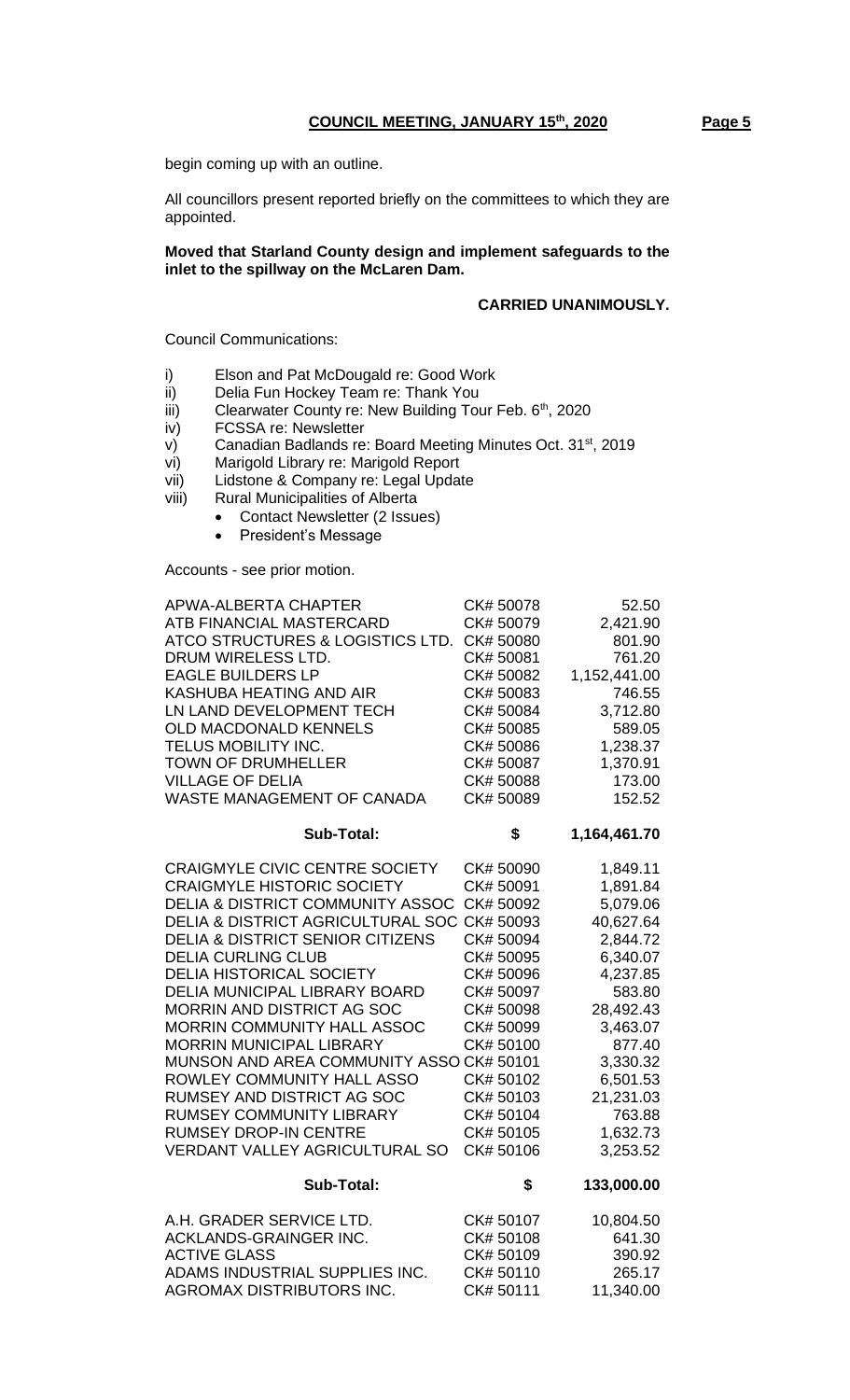begin coming up with an outline.

All councillors present reported briefly on the committees to which they are appointed.

#### **Moved that Starland County design and implement safeguards to the inlet to the spillway on the McLaren Dam.**

# **CARRIED UNANIMOUSLY.**

Council Communications:

- i) Elson and Pat McDougald re: Good Work
- ii) Delia Fun Hockey Team re: Thank You
- iii) Clearwater County re: New Building Tour Feb.  $6<sup>th</sup>$ , 2020
- iv) FCSSA re: Newsletter
- v) Canadian Badlands re: Board Meeting Minutes Oct. 31<sup>st</sup>, 2019
- vi) Marigold Library re: Marigold Report
- vii) Lidstone & Company re: Legal Update
- viii) Rural Municipalities of Alberta
	- Contact Newsletter (2 Issues)
	- President's Message

Accounts - see prior motion.

| APWA-ALBERTA CHAPTER<br>ATB FINANCIAL MASTERCARD<br>ATCO STRUCTURES & LOGISTICS LTD.<br>DRUM WIRELESS LTD.<br><b>EAGLE BUILDERS LP</b><br>KASHUBA HEATING AND AIR<br>LN LAND DEVELOPMENT TECH<br>OLD MACDONALD KENNELS<br>TELUS MOBILITY INC.<br><b>TOWN OF DRUMHELLER</b><br><b>VILLAGE OF DELIA</b><br>WASTE MANAGEMENT OF CANADA | CK#50078<br>CK#50079<br>CK#50080<br>CK# 50081<br>CK# 50082<br>CK# 50083<br>CK#50084<br>CK# 50085<br>CK#50086<br>CK# 50087<br>CK#50088<br>CK#50089 | 52.50<br>2,421.90<br>801.90<br>761.20<br>1,152,441.00<br>746.55<br>3,712.80<br>589.05<br>1,238.37<br>1,370.91<br>173.00<br>152.52 |
|-------------------------------------------------------------------------------------------------------------------------------------------------------------------------------------------------------------------------------------------------------------------------------------------------------------------------------------|---------------------------------------------------------------------------------------------------------------------------------------------------|-----------------------------------------------------------------------------------------------------------------------------------|
| <b>Sub-Total:</b>                                                                                                                                                                                                                                                                                                                   | \$                                                                                                                                                | 1,164,461.70                                                                                                                      |
| <b>CRAIGMYLE CIVIC CENTRE SOCIETY</b>                                                                                                                                                                                                                                                                                               | CK#50090                                                                                                                                          | 1,849.11                                                                                                                          |
| <b>CRAIGMYLE HISTORIC SOCIETY</b>                                                                                                                                                                                                                                                                                                   | CK# 50091                                                                                                                                         | 1,891.84                                                                                                                          |
| <b>DELIA &amp; DISTRICT COMMUNITY ASSOC</b>                                                                                                                                                                                                                                                                                         | CK#50092                                                                                                                                          | 5,079.06                                                                                                                          |
| <b>DELIA &amp; DISTRICT AGRICULTURAL SOC</b>                                                                                                                                                                                                                                                                                        | CK#50093                                                                                                                                          | 40,627.64                                                                                                                         |
| <b>DELIA &amp; DISTRICT SENIOR CITIZENS</b>                                                                                                                                                                                                                                                                                         | CK#50094                                                                                                                                          | 2,844.72                                                                                                                          |
| <b>DELIA CURLING CLUB</b>                                                                                                                                                                                                                                                                                                           | CK#50095                                                                                                                                          | 6,340.07                                                                                                                          |
| <b>DELIA HISTORICAL SOCIETY</b>                                                                                                                                                                                                                                                                                                     | CK#50096                                                                                                                                          | 4,237.85                                                                                                                          |
| <b>DELIA MUNICIPAL LIBRARY BOARD</b>                                                                                                                                                                                                                                                                                                | CK#50097                                                                                                                                          | 583.80                                                                                                                            |
| MORRIN AND DISTRICT AG SOC                                                                                                                                                                                                                                                                                                          | CK#50098                                                                                                                                          | 28,492.43                                                                                                                         |
| <b>MORRIN COMMUNITY HALL ASSOC</b>                                                                                                                                                                                                                                                                                                  | CK#50099                                                                                                                                          | 3,463.07                                                                                                                          |
| <b>MORRIN MUNICIPAL LIBRARY</b>                                                                                                                                                                                                                                                                                                     | CK#50100                                                                                                                                          | 877.40                                                                                                                            |
| MUNSON AND AREA COMMUNITY ASSO CK# 50101                                                                                                                                                                                                                                                                                            |                                                                                                                                                   | 3,330.32                                                                                                                          |
| ROWLEY COMMUNITY HALL ASSO                                                                                                                                                                                                                                                                                                          | CK# 50102                                                                                                                                         | 6,501.53                                                                                                                          |
| <b>RUMSEY AND DISTRICT AG SOC</b>                                                                                                                                                                                                                                                                                                   | CK# 50103                                                                                                                                         | 21,231.03                                                                                                                         |
| <b>RUMSEY COMMUNITY LIBRARY</b>                                                                                                                                                                                                                                                                                                     | CK# 50104                                                                                                                                         | 763.88                                                                                                                            |
| <b>RUMSEY DROP-IN CENTRE</b>                                                                                                                                                                                                                                                                                                        | CK#50105                                                                                                                                          | 1,632.73                                                                                                                          |
| <b>VERDANT VALLEY AGRICULTURAL SO</b>                                                                                                                                                                                                                                                                                               | CK#50106                                                                                                                                          | 3,253.52                                                                                                                          |
| Sub-Total:                                                                                                                                                                                                                                                                                                                          | \$                                                                                                                                                | 133,000.00                                                                                                                        |
| A.H. GRADER SERVICE LTD.                                                                                                                                                                                                                                                                                                            | CK#50107                                                                                                                                          | 10,804.50                                                                                                                         |
| ACKLANDS-GRAINGER INC.                                                                                                                                                                                                                                                                                                              | CK#50108                                                                                                                                          | 641.30                                                                                                                            |
| <b>ACTIVE GLASS</b>                                                                                                                                                                                                                                                                                                                 | CK#50109                                                                                                                                          | 390.92                                                                                                                            |

ADAMS INDUSTRIAL SUPPLIES INC. CK# 50110 265.17 AGROMAX DISTRIBUTORS INC. CK# 50111 11,340.00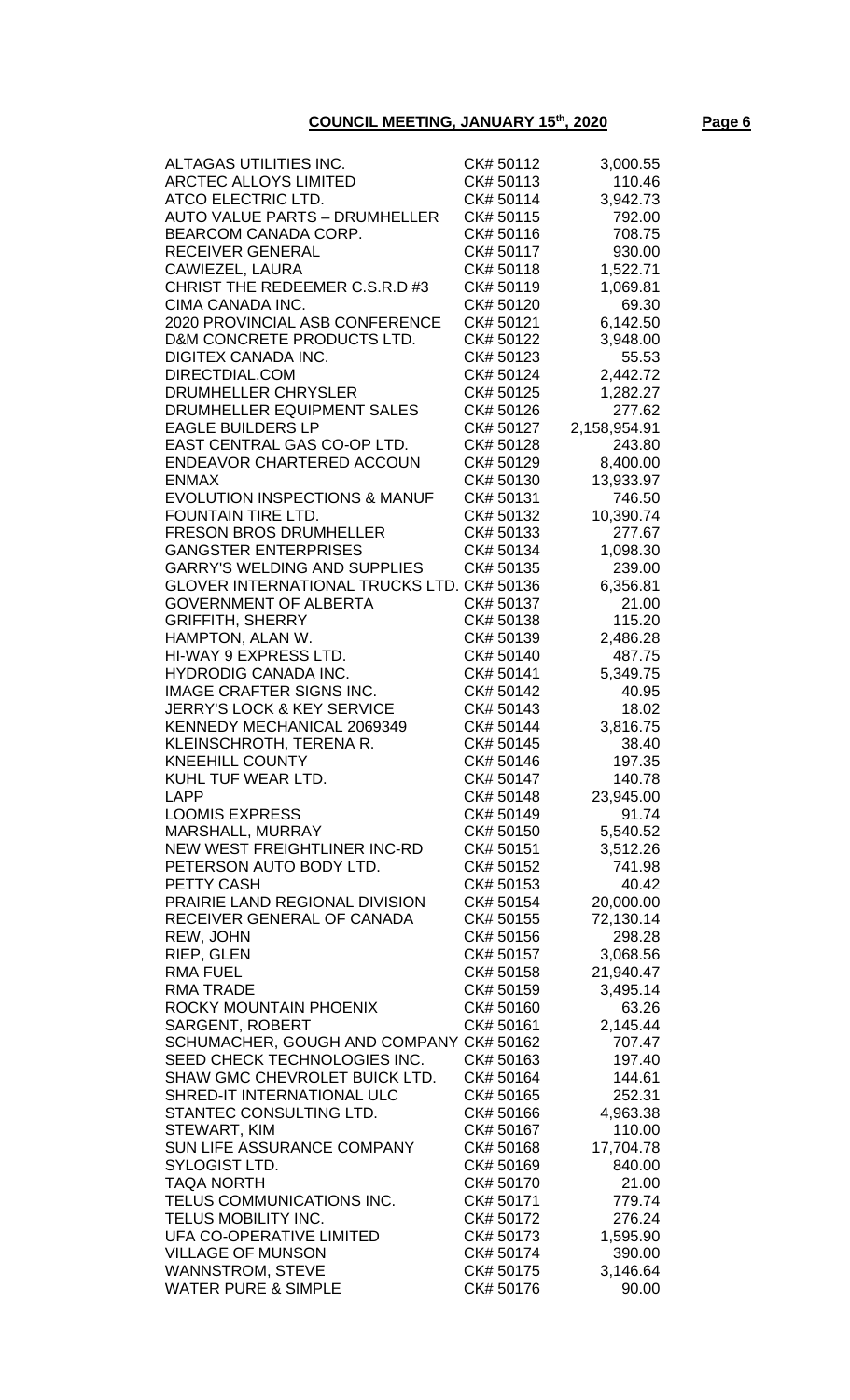# **COUNCIL MEETING, JANUARY 15th, 2020 Page 6**

| ALTAGAS UTILITIES INC.                     | CK# 50112 | 3,000.55     |
|--------------------------------------------|-----------|--------------|
| <b>ARCTEC ALLOYS LIMITED</b>               | CK#50113  | 110.46       |
| ATCO ELECTRIC LTD.                         | CK# 50114 | 3,942.73     |
|                                            |           |              |
| <b>AUTO VALUE PARTS - DRUMHELLER</b>       | CK#50115  | 792.00       |
| BEARCOM CANADA CORP.                       | CK# 50116 | 708.75       |
| <b>RECEIVER GENERAL</b>                    | CK# 50117 | 930.00       |
|                                            |           |              |
| CAWIEZEL, LAURA                            | CK# 50118 | 1,522.71     |
| CHRIST THE REDEEMER C.S.R.D #3             | CK#50119  | 1,069.81     |
| CIMA CANADA INC.                           | CK# 50120 | 69.30        |
|                                            |           |              |
| 2020 PROVINCIAL ASB CONFERENCE             | CK# 50121 | 6,142.50     |
| D&M CONCRETE PRODUCTS LTD.                 | CK# 50122 | 3,948.00     |
| DIGITEX CANADA INC.                        | CK# 50123 | 55.53        |
|                                            |           |              |
| DIRECTDIAL.COM                             | CK# 50124 | 2,442.72     |
| DRUMHELLER CHRYSLER                        | CK# 50125 | 1,282.27     |
| DRUMHELLER EQUIPMENT SALES                 | CK#50126  | 277.62       |
|                                            |           |              |
| <b>EAGLE BUILDERS LP</b>                   | CK# 50127 | 2,158,954.91 |
| EAST CENTRAL GAS CO-OP LTD.                | CK# 50128 | 243.80       |
| <b>ENDEAVOR CHARTERED ACCOUN</b>           | CK#50129  | 8,400.00     |
|                                            |           |              |
| <b>ENMAX</b>                               | CK# 50130 | 13,933.97    |
| <b>EVOLUTION INSPECTIONS &amp; MANUF</b>   | CK# 50131 | 746.50       |
| <b>FOUNTAIN TIRE LTD.</b>                  | CK# 50132 | 10,390.74    |
|                                            | CK# 50133 |              |
| <b>FRESON BROS DRUMHELLER</b>              |           | 277.67       |
| <b>GANGSTER ENTERPRISES</b>                | CK# 50134 | 1,098.30     |
| <b>GARRY'S WELDING AND SUPPLIES</b>        | CK# 50135 | 239.00       |
|                                            |           |              |
| GLOVER INTERNATIONAL TRUCKS LTD. CK# 50136 |           | 6,356.81     |
| <b>GOVERNMENT OF ALBERTA</b>               | CK# 50137 | 21.00        |
| <b>GRIFFITH, SHERRY</b>                    | CK# 50138 | 115.20       |
| HAMPTON, ALAN W.                           | CK# 50139 | 2,486.28     |
|                                            |           |              |
| HI-WAY 9 EXPRESS LTD.                      | CK# 50140 | 487.75       |
| <b>HYDRODIG CANADA INC.</b>                | CK# 50141 | 5,349.75     |
| <b>IMAGE CRAFTER SIGNS INC.</b>            | CK# 50142 | 40.95        |
|                                            |           |              |
| <b>JERRY'S LOCK &amp; KEY SERVICE</b>      | CK# 50143 | 18.02        |
| KENNEDY MECHANICAL 2069349                 | CK# 50144 | 3,816.75     |
| KLEINSCHROTH, TERENA R.                    | CK# 50145 | 38.40        |
|                                            |           |              |
| <b>KNEEHILL COUNTY</b>                     | CK# 50146 | 197.35       |
| KUHL TUF WEAR LTD.                         | CK# 50147 | 140.78       |
| <b>LAPP</b>                                | CK# 50148 | 23,945.00    |
| <b>LOOMIS EXPRESS</b>                      |           |              |
|                                            | CK# 50149 | 91.74        |
| MARSHALL, MURRAY                           | CK# 50150 | 5,540.52     |
| NEW WEST FREIGHTLINER INC-RD               | CK# 50151 | 3,512.26     |
| PETERSON AUTO BODY LTD.                    | CK# 50152 | 741.98       |
|                                            |           |              |
| PETTY CASH                                 | CK# 50153 | 40.42        |
| PRAIRIE LAND REGIONAL DIVISION             | CK# 50154 | 20,000.00    |
| RECEIVER GENERAL OF CANADA                 | CK# 50155 | 72,130.14    |
|                                            |           |              |
| REW, JOHN                                  | CK# 50156 | 298.28       |
| RIEP, GLEN                                 | CK# 50157 | 3,068.56     |
| <b>RMA FUEL</b>                            | CK# 50158 | 21,940.47    |
|                                            |           |              |
| <b>RMA TRADE</b>                           | CK# 50159 | 3,495.14     |
| ROCKY MOUNTAIN PHOENIX                     | CK# 50160 | 63.26        |
| <b>SARGENT, ROBERT</b>                     | CK#50161  | 2,145.44     |
| SCHUMACHER, GOUGH AND COMPANY CK# 50162    |           | 707.47       |
|                                            |           |              |
| SEED CHECK TECHNOLOGIES INC.               | CK# 50163 | 197.40       |
| SHAW GMC CHEVROLET BUICK LTD.              | CK# 50164 | 144.61       |
| SHRED-IT INTERNATIONAL ULC                 | CK# 50165 | 252.31       |
|                                            |           |              |
| STANTEC CONSULTING LTD.                    | CK# 50166 | 4,963.38     |
| STEWART, KIM                               | CK# 50167 | 110.00       |
| SUN LIFE ASSURANCE COMPANY                 | CK#50168  | 17,704.78    |
|                                            |           |              |
| SYLOGIST LTD.                              | CK# 50169 | 840.00       |
| <b>TAQA NORTH</b>                          | CK# 50170 | 21.00        |
| TELUS COMMUNICATIONS INC.                  | CK#50171  | 779.74       |
|                                            |           |              |
| TELUS MOBILITY INC.                        | CK# 50172 | 276.24       |
| UFA CO-OPERATIVE LIMITED                   | CK# 50173 | 1,595.90     |
| <b>VILLAGE OF MUNSON</b>                   | CK# 50174 | 390.00       |
| <b>WANNSTROM, STEVE</b>                    | CK# 50175 | 3,146.64     |
|                                            |           |              |
| <b>WATER PURE &amp; SIMPLE</b>             | CK# 50176 | 90.00        |